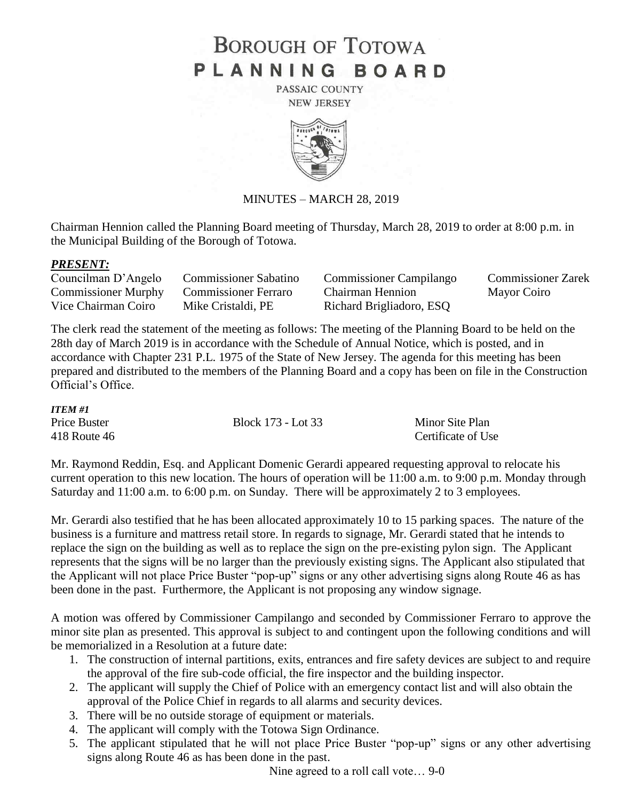# **BOROUGH OF TOTOWA** PLANNING BOARD

PASSAIC COUNTY **NEW JERSEY** 



## MINUTES – MARCH 28, 2019

Chairman Hennion called the Planning Board meeting of Thursday, March 28, 2019 to order at 8:00 p.m. in the Municipal Building of the Borough of Totowa.

### *PRESENT:*

| Councilman D'Angelo                      | <b>Commissioner Sabatino</b> | <b>Commissioner Campilango</b> | <b>Commissioner Zarek</b> |
|------------------------------------------|------------------------------|--------------------------------|---------------------------|
| Commissioner Murphy Commissioner Ferraro |                              | <b>Chairman Hennion</b>        | Mayor Coiro               |
| Vice Chairman Coiro                      | Mike Cristaldi, PE           | Richard Brigliadoro, ESQ       |                           |

The clerk read the statement of the meeting as follows: The meeting of the Planning Board to be held on the 28th day of March 2019 is in accordance with the Schedule of Annual Notice, which is posted, and in accordance with Chapter 231 P.L. 1975 of the State of New Jersey. The agenda for this meeting has been prepared and distributed to the members of the Planning Board and a copy has been on file in the Construction Official's Office.

| <b>ITEM#1</b> |                    |                    |
|---------------|--------------------|--------------------|
| Price Buster  | Block 173 - Lot 33 | Minor Site Plan    |
| 418 Route 46  |                    | Certificate of Use |

Mr. Raymond Reddin, Esq. and Applicant Domenic Gerardi appeared requesting approval to relocate his current operation to this new location. The hours of operation will be 11:00 a.m. to 9:00 p.m. Monday through Saturday and 11:00 a.m. to 6:00 p.m. on Sunday. There will be approximately 2 to 3 employees.

Mr. Gerardi also testified that he has been allocated approximately 10 to 15 parking spaces. The nature of the business is a furniture and mattress retail store. In regards to signage, Mr. Gerardi stated that he intends to replace the sign on the building as well as to replace the sign on the pre-existing pylon sign. The Applicant represents that the signs will be no larger than the previously existing signs. The Applicant also stipulated that the Applicant will not place Price Buster "pop-up" signs or any other advertising signs along Route 46 as has been done in the past. Furthermore, the Applicant is not proposing any window signage.

A motion was offered by Commissioner Campilango and seconded by Commissioner Ferraro to approve the minor site plan as presented. This approval is subject to and contingent upon the following conditions and will be memorialized in a Resolution at a future date:

- 1. The construction of internal partitions, exits, entrances and fire safety devices are subject to and require the approval of the fire sub-code official, the fire inspector and the building inspector.
- 2. The applicant will supply the Chief of Police with an emergency contact list and will also obtain the approval of the Police Chief in regards to all alarms and security devices.
- 3. There will be no outside storage of equipment or materials.
- 4. The applicant will comply with the Totowa Sign Ordinance.
- 5. The applicant stipulated that he will not place Price Buster "pop-up" signs or any other advertising signs along Route 46 as has been done in the past.

Nine agreed to a roll call vote… 9-0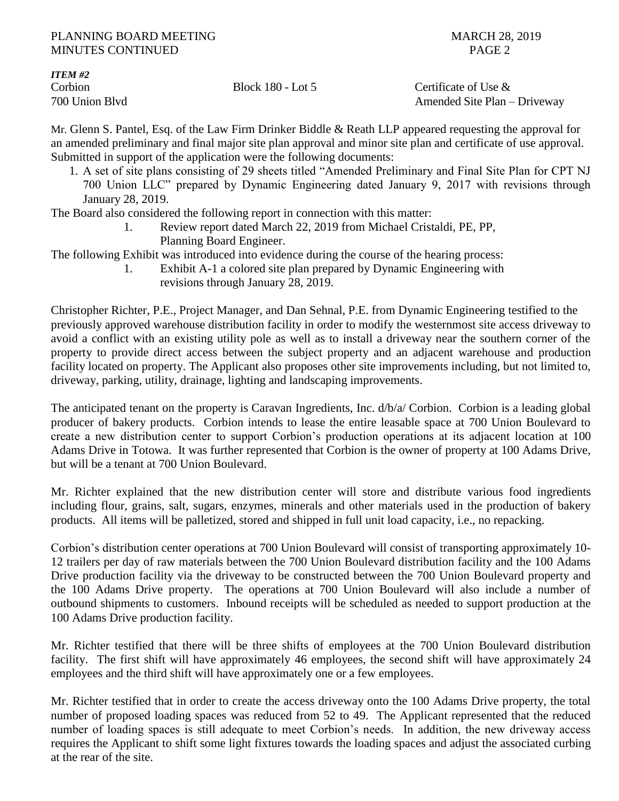*ITEM #2*

Corbion Block 180 - Lot 5 Certificate of Use & 700 Union Blvd Amended Site Plan – Driveway

Mr. Glenn S. Pantel, Esq. of the Law Firm Drinker Biddle & Reath LLP appeared requesting the approval for an amended preliminary and final major site plan approval and minor site plan and certificate of use approval. Submitted in support of the application were the following documents:

1. A set of site plans consisting of 29 sheets titled "Amended Preliminary and Final Site Plan for CPT NJ 700 Union LLC" prepared by Dynamic Engineering dated January 9, 2017 with revisions through January 28, 2019.

The Board also considered the following report in connection with this matter:

1. Review report dated March 22, 2019 from Michael Cristaldi, PE, PP, Planning Board Engineer.

The following Exhibit was introduced into evidence during the course of the hearing process:

1. Exhibit A-1 a colored site plan prepared by Dynamic Engineering with revisions through January 28, 2019.

Christopher Richter, P.E., Project Manager, and Dan Sehnal, P.E. from Dynamic Engineering testified to the previously approved warehouse distribution facility in order to modify the westernmost site access driveway to avoid a conflict with an existing utility pole as well as to install a driveway near the southern corner of the property to provide direct access between the subject property and an adjacent warehouse and production facility located on property. The Applicant also proposes other site improvements including, but not limited to, driveway, parking, utility, drainage, lighting and landscaping improvements.

The anticipated tenant on the property is Caravan Ingredients, Inc. d/b/a/ Corbion. Corbion is a leading global producer of bakery products. Corbion intends to lease the entire leasable space at 700 Union Boulevard to create a new distribution center to support Corbion's production operations at its adjacent location at 100 Adams Drive in Totowa. It was further represented that Corbion is the owner of property at 100 Adams Drive, but will be a tenant at 700 Union Boulevard.

Mr. Richter explained that the new distribution center will store and distribute various food ingredients including flour, grains, salt, sugars, enzymes, minerals and other materials used in the production of bakery products. All items will be palletized, stored and shipped in full unit load capacity, i.e., no repacking.

Corbion's distribution center operations at 700 Union Boulevard will consist of transporting approximately 10- 12 trailers per day of raw materials between the 700 Union Boulevard distribution facility and the 100 Adams Drive production facility via the driveway to be constructed between the 700 Union Boulevard property and the 100 Adams Drive property. The operations at 700 Union Boulevard will also include a number of outbound shipments to customers. Inbound receipts will be scheduled as needed to support production at the 100 Adams Drive production facility.

Mr. Richter testified that there will be three shifts of employees at the 700 Union Boulevard distribution facility. The first shift will have approximately 46 employees, the second shift will have approximately 24 employees and the third shift will have approximately one or a few employees.

Mr. Richter testified that in order to create the access driveway onto the 100 Adams Drive property, the total number of proposed loading spaces was reduced from 52 to 49. The Applicant represented that the reduced number of loading spaces is still adequate to meet Corbion's needs. In addition, the new driveway access requires the Applicant to shift some light fixtures towards the loading spaces and adjust the associated curbing at the rear of the site.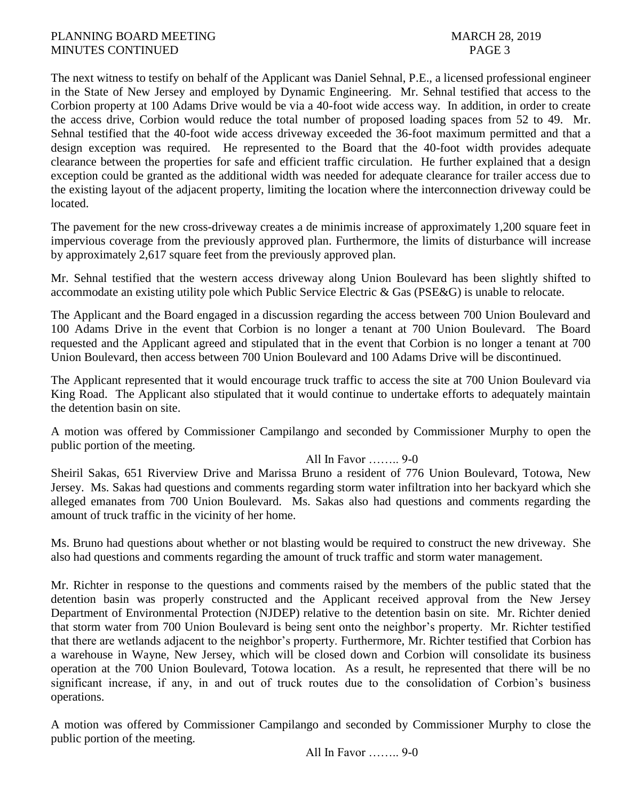The next witness to testify on behalf of the Applicant was Daniel Sehnal, P.E., a licensed professional engineer in the State of New Jersey and employed by Dynamic Engineering. Mr. Sehnal testified that access to the Corbion property at 100 Adams Drive would be via a 40-foot wide access way. In addition, in order to create the access drive, Corbion would reduce the total number of proposed loading spaces from 52 to 49. Mr. Sehnal testified that the 40-foot wide access driveway exceeded the 36-foot maximum permitted and that a design exception was required. He represented to the Board that the 40-foot width provides adequate clearance between the properties for safe and efficient traffic circulation. He further explained that a design exception could be granted as the additional width was needed for adequate clearance for trailer access due to the existing layout of the adjacent property, limiting the location where the interconnection driveway could be located.

The pavement for the new cross-driveway creates a de minimis increase of approximately 1,200 square feet in impervious coverage from the previously approved plan. Furthermore, the limits of disturbance will increase by approximately 2,617 square feet from the previously approved plan.

Mr. Sehnal testified that the western access driveway along Union Boulevard has been slightly shifted to accommodate an existing utility pole which Public Service Electric & Gas (PSE&G) is unable to relocate.

The Applicant and the Board engaged in a discussion regarding the access between 700 Union Boulevard and 100 Adams Drive in the event that Corbion is no longer a tenant at 700 Union Boulevard. The Board requested and the Applicant agreed and stipulated that in the event that Corbion is no longer a tenant at 700 Union Boulevard, then access between 700 Union Boulevard and 100 Adams Drive will be discontinued.

The Applicant represented that it would encourage truck traffic to access the site at 700 Union Boulevard via King Road. The Applicant also stipulated that it would continue to undertake efforts to adequately maintain the detention basin on site.

A motion was offered by Commissioner Campilango and seconded by Commissioner Murphy to open the public portion of the meeting.

# All In Favor …….. 9-0

Sheiril Sakas, 651 Riverview Drive and Marissa Bruno a resident of 776 Union Boulevard, Totowa, New Jersey. Ms. Sakas had questions and comments regarding storm water infiltration into her backyard which she alleged emanates from 700 Union Boulevard. Ms. Sakas also had questions and comments regarding the amount of truck traffic in the vicinity of her home.

Ms. Bruno had questions about whether or not blasting would be required to construct the new driveway. She also had questions and comments regarding the amount of truck traffic and storm water management.

Mr. Richter in response to the questions and comments raised by the members of the public stated that the detention basin was properly constructed and the Applicant received approval from the New Jersey Department of Environmental Protection (NJDEP) relative to the detention basin on site. Mr. Richter denied that storm water from 700 Union Boulevard is being sent onto the neighbor's property. Mr. Richter testified that there are wetlands adjacent to the neighbor's property. Furthermore, Mr. Richter testified that Corbion has a warehouse in Wayne, New Jersey, which will be closed down and Corbion will consolidate its business operation at the 700 Union Boulevard, Totowa location. As a result, he represented that there will be no significant increase, if any, in and out of truck routes due to the consolidation of Corbion's business operations.

A motion was offered by Commissioner Campilango and seconded by Commissioner Murphy to close the public portion of the meeting.

All In Favor …….. 9-0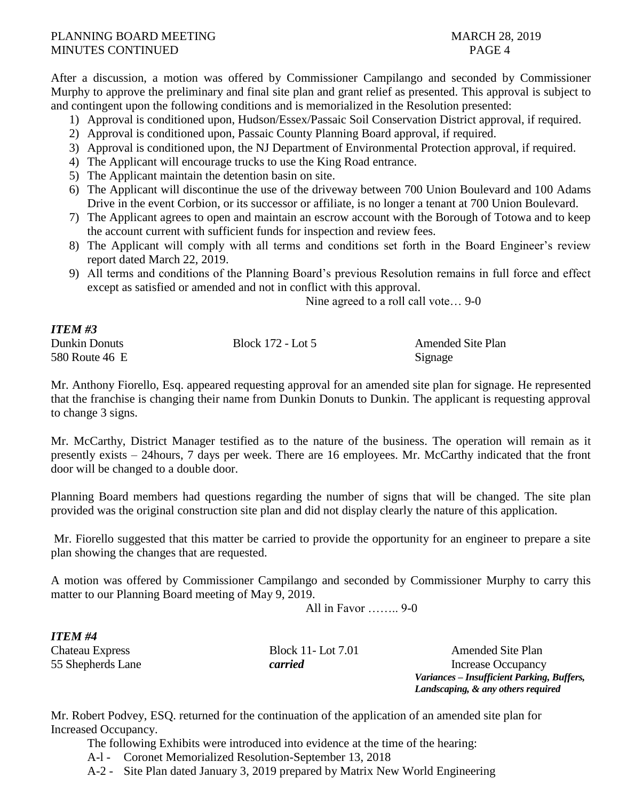After a discussion, a motion was offered by Commissioner Campilango and seconded by Commissioner Murphy to approve the preliminary and final site plan and grant relief as presented. This approval is subject to and contingent upon the following conditions and is memorialized in the Resolution presented:

- 1) Approval is conditioned upon, Hudson/Essex/Passaic Soil Conservation District approval, if required.
- 2) Approval is conditioned upon, Passaic County Planning Board approval, if required.
- 3) Approval is conditioned upon, the NJ Department of Environmental Protection approval, if required.
- 4) The Applicant will encourage trucks to use the King Road entrance.
- 5) The Applicant maintain the detention basin on site.
- 6) The Applicant will discontinue the use of the driveway between 700 Union Boulevard and 100 Adams Drive in the event Corbion, or its successor or affiliate, is no longer a tenant at 700 Union Boulevard.
- 7) The Applicant agrees to open and maintain an escrow account with the Borough of Totowa and to keep the account current with sufficient funds for inspection and review fees.
- 8) The Applicant will comply with all terms and conditions set forth in the Board Engineer's review report dated March 22, 2019.
- 9) All terms and conditions of the Planning Board's previous Resolution remains in full force and effect except as satisfied or amended and not in conflict with this approval.

Nine agreed to a roll call vote… 9-0

| <b>ITEM #3</b> |                   |                          |
|----------------|-------------------|--------------------------|
| Dunkin Donuts  | Block 172 - Lot 5 | <b>Amended Site Plan</b> |
| 580 Route 46 E |                   | Signage                  |

Mr. Anthony Fiorello, Esq. appeared requesting approval for an amended site plan for signage. He represented that the franchise is changing their name from Dunkin Donuts to Dunkin. The applicant is requesting approval to change 3 signs.

Mr. McCarthy, District Manager testified as to the nature of the business. The operation will remain as it presently exists – 24hours, 7 days per week. There are 16 employees. Mr. McCarthy indicated that the front door will be changed to a double door.

Planning Board members had questions regarding the number of signs that will be changed. The site plan provided was the original construction site plan and did not display clearly the nature of this application.

Mr. Fiorello suggested that this matter be carried to provide the opportunity for an engineer to prepare a site plan showing the changes that are requested.

A motion was offered by Commissioner Campilango and seconded by Commissioner Murphy to carry this matter to our Planning Board meeting of May 9, 2019.

All in Favor …….. 9-0

*ITEM #4*

Chateau Express Block 11- Lot 7.01 Amended Site Plan 55 Shepherds Lane *carried* Increase Occupancy *Variances – Insufficient Parking, Buffers, Landscaping, & any others required*

Mr. Robert Podvey, ESQ. returned for the continuation of the application of an amended site plan for Increased Occupancy.

The following Exhibits were introduced into evidence at the time of the hearing:

A-l - Coronet Memorialized Resolution-September 13, 2018

A-2 - Site Plan dated January 3, 2019 prepared by Matrix New World Engineering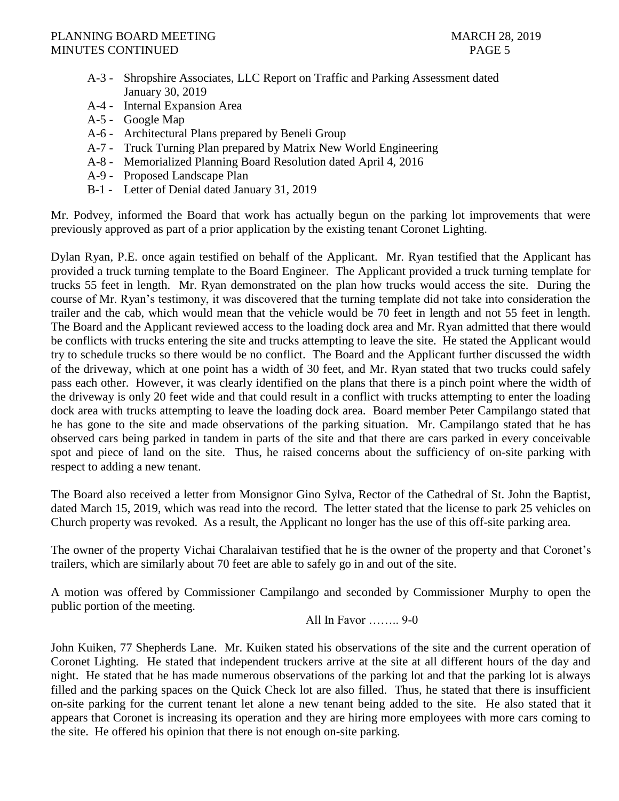- A-3 Shropshire Associates, LLC Report on Traffic and Parking Assessment dated January 30, 2019
- A-4 Internal Expansion Area
- A-5 Google Map
- A-6 Architectural Plans prepared by Beneli Group
- A-7 Truck Turning Plan prepared by Matrix New World Engineering
- A-8 Memorialized Planning Board Resolution dated April 4, 2016
- A-9 Proposed Landscape Plan
- B-1 Letter of Denial dated January 31, 2019

Mr. Podvey, informed the Board that work has actually begun on the parking lot improvements that were previously approved as part of a prior application by the existing tenant Coronet Lighting.

Dylan Ryan, P.E. once again testified on behalf of the Applicant. Mr. Ryan testified that the Applicant has provided a truck turning template to the Board Engineer. The Applicant provided a truck turning template for trucks 55 feet in length. Mr. Ryan demonstrated on the plan how trucks would access the site. During the course of Mr. Ryan's testimony, it was discovered that the turning template did not take into consideration the trailer and the cab, which would mean that the vehicle would be 70 feet in length and not 55 feet in length. The Board and the Applicant reviewed access to the loading dock area and Mr. Ryan admitted that there would be conflicts with trucks entering the site and trucks attempting to leave the site. He stated the Applicant would try to schedule trucks so there would be no conflict. The Board and the Applicant further discussed the width of the driveway, which at one point has a width of 30 feet, and Mr. Ryan stated that two trucks could safely pass each other. However, it was clearly identified on the plans that there is a pinch point where the width of the driveway is only 20 feet wide and that could result in a conflict with trucks attempting to enter the loading dock area with trucks attempting to leave the loading dock area. Board member Peter Campilango stated that he has gone to the site and made observations of the parking situation. Mr. Campilango stated that he has observed cars being parked in tandem in parts of the site and that there are cars parked in every conceivable spot and piece of land on the site. Thus, he raised concerns about the sufficiency of on-site parking with respect to adding a new tenant.

The Board also received a letter from Monsignor Gino Sylva, Rector of the Cathedral of St. John the Baptist, dated March 15, 2019, which was read into the record. The letter stated that the license to park 25 vehicles on Church property was revoked. As a result, the Applicant no longer has the use of this off-site parking area.

The owner of the property Vichai Charalaivan testified that he is the owner of the property and that Coronet's trailers, which are similarly about 70 feet are able to safely go in and out of the site.

A motion was offered by Commissioner Campilango and seconded by Commissioner Murphy to open the public portion of the meeting.

All In Favor …….. 9-0

John Kuiken, 77 Shepherds Lane. Mr. Kuiken stated his observations of the site and the current operation of Coronet Lighting. He stated that independent truckers arrive at the site at all different hours of the day and night. He stated that he has made numerous observations of the parking lot and that the parking lot is always filled and the parking spaces on the Quick Check lot are also filled. Thus, he stated that there is insufficient on-site parking for the current tenant let alone a new tenant being added to the site. He also stated that it appears that Coronet is increasing its operation and they are hiring more employees with more cars coming to the site. He offered his opinion that there is not enough on-site parking.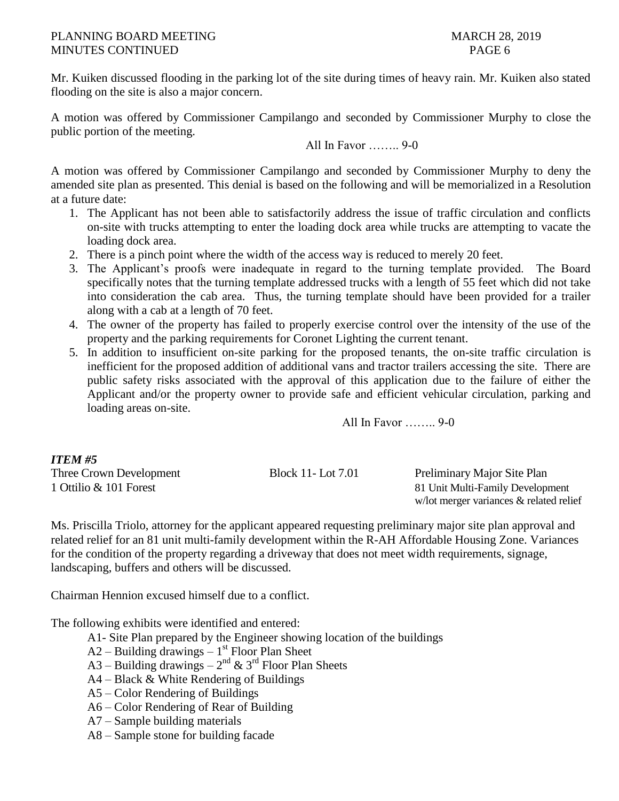Mr. Kuiken discussed flooding in the parking lot of the site during times of heavy rain. Mr. Kuiken also stated flooding on the site is also a major concern.

A motion was offered by Commissioner Campilango and seconded by Commissioner Murphy to close the public portion of the meeting.

All In Favor …….. 9-0

A motion was offered by Commissioner Campilango and seconded by Commissioner Murphy to deny the amended site plan as presented. This denial is based on the following and will be memorialized in a Resolution at a future date:

- 1. The Applicant has not been able to satisfactorily address the issue of traffic circulation and conflicts on-site with trucks attempting to enter the loading dock area while trucks are attempting to vacate the loading dock area.
- 2. There is a pinch point where the width of the access way is reduced to merely 20 feet.
- 3. The Applicant's proofs were inadequate in regard to the turning template provided. The Board specifically notes that the turning template addressed trucks with a length of 55 feet which did not take into consideration the cab area. Thus, the turning template should have been provided for a trailer along with a cab at a length of 70 feet.
- 4. The owner of the property has failed to properly exercise control over the intensity of the use of the property and the parking requirements for Coronet Lighting the current tenant.
- 5. In addition to insufficient on-site parking for the proposed tenants, the on-site traffic circulation is inefficient for the proposed addition of additional vans and tractor trailers accessing the site. There are public safety risks associated with the approval of this application due to the failure of either the Applicant and/or the property owner to provide safe and efficient vehicular circulation, parking and loading areas on-site.

All In Favor …….. 9-0

# *ITEM #5* Three Crown Development Block 11- Lot 7.01 Preliminary Major Site Plan 1 Ottilio & 101 Forest 81 Unit Multi-Family Development

w/lot merger variances & related relief

Ms. Priscilla Triolo, attorney for the applicant appeared requesting preliminary major site plan approval and related relief for an 81 unit multi-family development within the R-AH Affordable Housing Zone. Variances for the condition of the property regarding a driveway that does not meet width requirements, signage, landscaping, buffers and others will be discussed.

Chairman Hennion excused himself due to a conflict.

The following exhibits were identified and entered:

- A1- Site Plan prepared by the Engineer showing location of the buildings
- $A2 -$  Building drawings  $-1<sup>st</sup>$  Floor Plan Sheet
- A3 Building drawings  $2^{nd}$  & 3<sup>rd</sup> Floor Plan Sheets
- A4 Black & White Rendering of Buildings
- A5 Color Rendering of Buildings
- A6 Color Rendering of Rear of Building
- A7 Sample building materials
- A8 Sample stone for building facade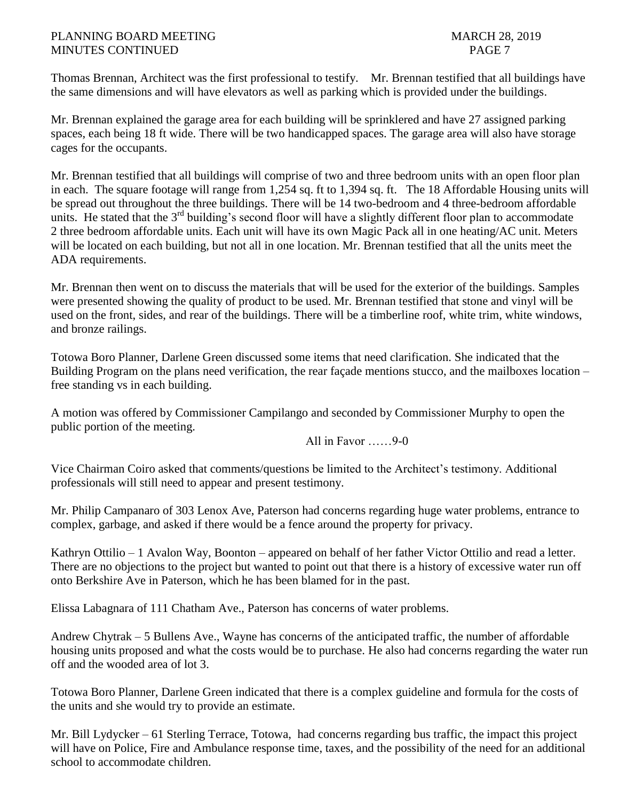Thomas Brennan, Architect was the first professional to testify. Mr. Brennan testified that all buildings have the same dimensions and will have elevators as well as parking which is provided under the buildings.

Mr. Brennan explained the garage area for each building will be sprinklered and have 27 assigned parking spaces, each being 18 ft wide. There will be two handicapped spaces. The garage area will also have storage cages for the occupants.

Mr. Brennan testified that all buildings will comprise of two and three bedroom units with an open floor plan in each. The square footage will range from 1,254 sq. ft to 1,394 sq. ft. The 18 Affordable Housing units will be spread out throughout the three buildings. There will be 14 two-bedroom and 4 three-bedroom affordable units. He stated that the  $3<sup>rd</sup>$  building's second floor will have a slightly different floor plan to accommodate 2 three bedroom affordable units. Each unit will have its own Magic Pack all in one heating/AC unit. Meters will be located on each building, but not all in one location. Mr. Brennan testified that all the units meet the ADA requirements.

Mr. Brennan then went on to discuss the materials that will be used for the exterior of the buildings. Samples were presented showing the quality of product to be used. Mr. Brennan testified that stone and vinyl will be used on the front, sides, and rear of the buildings. There will be a timberline roof, white trim, white windows, and bronze railings.

Totowa Boro Planner, Darlene Green discussed some items that need clarification. She indicated that the Building Program on the plans need verification, the rear façade mentions stucco, and the mailboxes location – free standing vs in each building.

A motion was offered by Commissioner Campilango and seconded by Commissioner Murphy to open the public portion of the meeting.

All in Favor ……9-0

Vice Chairman Coiro asked that comments/questions be limited to the Architect's testimony. Additional professionals will still need to appear and present testimony.

Mr. Philip Campanaro of 303 Lenox Ave, Paterson had concerns regarding huge water problems, entrance to complex, garbage, and asked if there would be a fence around the property for privacy.

Kathryn Ottilio – 1 Avalon Way, Boonton – appeared on behalf of her father Victor Ottilio and read a letter. There are no objections to the project but wanted to point out that there is a history of excessive water run off onto Berkshire Ave in Paterson, which he has been blamed for in the past.

Elissa Labagnara of 111 Chatham Ave., Paterson has concerns of water problems.

Andrew Chytrak – 5 Bullens Ave., Wayne has concerns of the anticipated traffic, the number of affordable housing units proposed and what the costs would be to purchase. He also had concerns regarding the water run off and the wooded area of lot 3.

Totowa Boro Planner, Darlene Green indicated that there is a complex guideline and formula for the costs of the units and she would try to provide an estimate.

Mr. Bill Lydycker – 61 Sterling Terrace, Totowa, had concerns regarding bus traffic, the impact this project will have on Police, Fire and Ambulance response time, taxes, and the possibility of the need for an additional school to accommodate children.